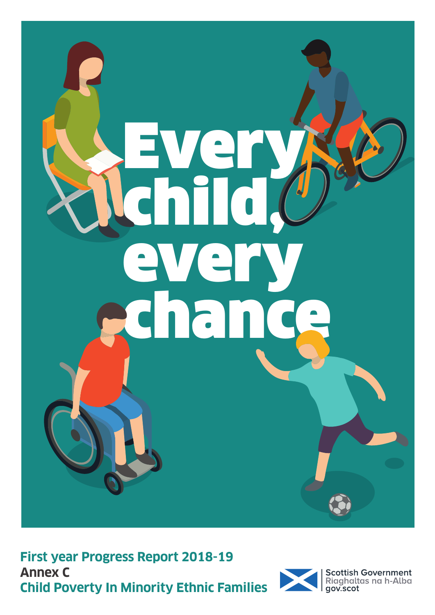

**First year Progress Report 2018-19 Annex C Child Poverty In Minority Ethnic Families**

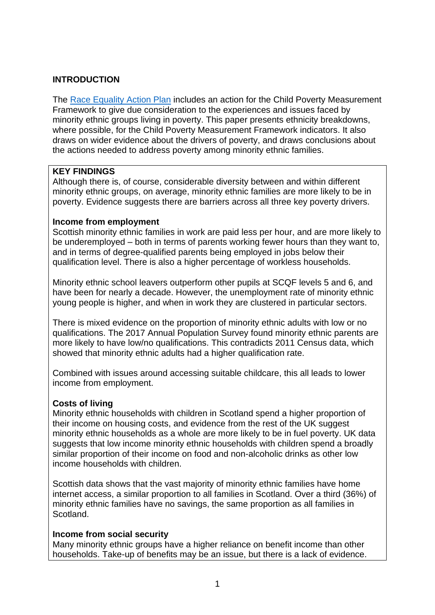## **INTRODUCTION**

The [Race Equality Action Plan](https://www.gov.scot/publications/fairer-scotland-race-equality-action-plan-2017-2021-highlight-report/) includes an action for the Child Poverty Measurement Framework to give due consideration to the experiences and issues faced by minority ethnic groups living in poverty. This paper presents ethnicity breakdowns, where possible, for the Child Poverty Measurement Framework indicators. It also draws on wider evidence about the drivers of poverty, and draws conclusions about the actions needed to address poverty among minority ethnic families.

## **KEY FINDINGS**

Although there is, of course, considerable diversity between and within different minority ethnic groups, on average, minority ethnic families are more likely to be in poverty. Evidence suggests there are barriers across all three key poverty drivers.

#### **Income from employment**

Scottish minority ethnic families in work are paid less per hour, and are more likely to be underemployed – both in terms of parents working fewer hours than they want to, and in terms of degree-qualified parents being employed in jobs below their qualification level. There is also a higher percentage of workless households.

Minority ethnic school leavers outperform other pupils at SCQF levels 5 and 6, and have been for nearly a decade. However, the unemployment rate of minority ethnic young people is higher, and when in work they are clustered in particular sectors.

There is mixed evidence on the proportion of minority ethnic adults with low or no qualifications. The 2017 Annual Population Survey found minority ethnic parents are more likely to have low/no qualifications. This contradicts 2011 Census data, which showed that minority ethnic adults had a higher qualification rate.

Combined with issues around accessing suitable childcare, this all leads to lower income from employment.

#### **Costs of living**

Minority ethnic households with children in Scotland spend a higher proportion of their income on housing costs, and evidence from the rest of the UK suggest minority ethnic households as a whole are more likely to be in fuel poverty. UK data suggests that low income minority ethnic households with children spend a broadly similar proportion of their income on food and non-alcoholic drinks as other low income households with children.

Scottish data shows that the vast majority of minority ethnic families have home internet access, a similar proportion to all families in Scotland. Over a third (36%) of minority ethnic families have no savings, the same proportion as all families in Scotland.

#### **Income from social security**

Many minority ethnic groups have a higher reliance on benefit income than other households. Take-up of benefits may be an issue, but there is a lack of evidence.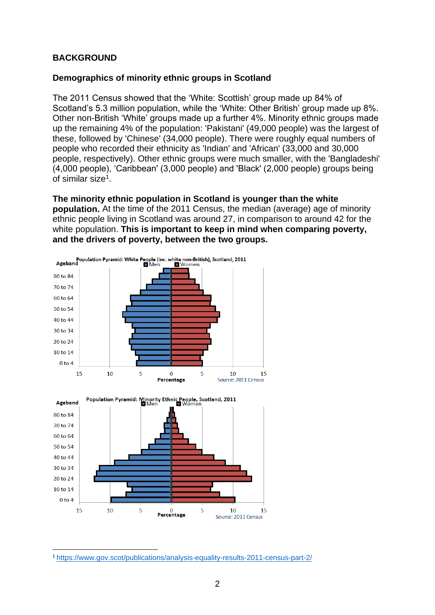## **BACKGROUND**

## **Demographics of minority ethnic groups in Scotland**

The 2011 Census showed that the 'White: Scottish' group made up 84% of Scotland's 5.3 million population, while the 'White: Other British' group made up 8%. Other non-British 'White' groups made up a further 4%. Minority ethnic groups made up the remaining 4% of the population: 'Pakistani' (49,000 people) was the largest of these, followed by 'Chinese' (34,000 people). There were roughly equal numbers of people who recorded their ethnicity as 'Indian' and 'African' (33,000 and 30,000 people, respectively). Other ethnic groups were much smaller, with the 'Bangladeshi' (4,000 people), 'Caribbean' (3,000 people) and 'Black' (2,000 people) groups being of similar size<sup>1</sup>.

**The minority ethnic population in Scotland is younger than the white population.** At the time of the 2011 Census, the median (average) age of minority ethnic people living in Scotland was around 27, in comparison to around 42 for the white population. **This is important to keep in mind when comparing poverty, and the drivers of poverty, between the two groups.**



Source: 2011 Census

**<sup>.</sup>** <sup>1</sup> <https://www.gov.scot/publications/analysis-equality-results-2011-census-part-2/>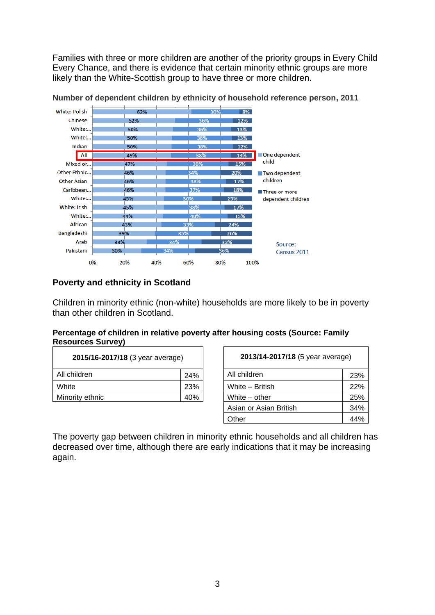Families with three or more children are another of the priority groups in Every Child Every Chance, and there is evidence that certain minority ethnic groups are more likely than the White-Scottish group to have three or more children.



**Number of dependent children by ethnicity of household reference person, 2011**

## **Poverty and ethnicity in Scotland**

Children in minority ethnic (non-white) households are more likely to be in poverty than other children in Scotland.

#### **Percentage of children in relative poverty after housing costs (Source: Family Resources Survey)**

| 2015/16-2017/18 (3 year average) |     | 2013/14-2017/18 (5 year average) |     |
|----------------------------------|-----|----------------------------------|-----|
| All children                     | 24% | All children                     | 23% |
| White                            | 23% | White - British                  | 22% |
| Minority ethnic                  | 40% | White – other                    | 25% |

| 2013/14-2017/18 (5 year average) |     |  |  |  |
|----------------------------------|-----|--|--|--|
| All children                     | 23% |  |  |  |
| White – British                  | 22% |  |  |  |
| White – other                    | 25% |  |  |  |
| Asian or Asian British           | 34% |  |  |  |
| Other                            |     |  |  |  |

The poverty gap between children in minority ethnic households and all children has decreased over time, although there are early indications that it may be increasing again.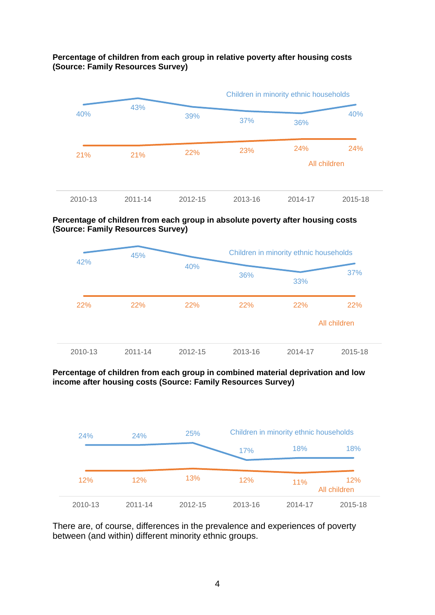#### **Percentage of children from each group in relative poverty after housing costs (Source: Family Resources Survey)**



#### **Percentage of children from each group in absolute poverty after housing costs (Source: Family Resources Survey)**



#### **Percentage of children from each group in combined material deprivation and low income after housing costs (Source: Family Resources Survey)**



There are, of course, differences in the prevalence and experiences of poverty between (and within) different minority ethnic groups.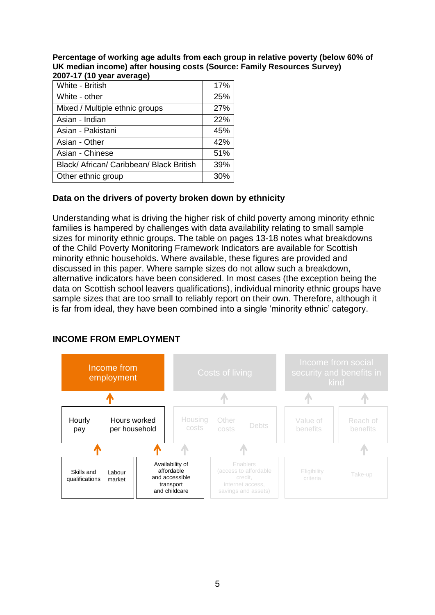**Percentage of working age adults from each group in relative poverty (below 60% of UK median income) after housing costs (Source: Family Resources Survey) 2007-17 (10 year average)**

| בטטו־וו <i>ן</i> וט פקום מפקומ <u>ע</u> ק |     |
|-------------------------------------------|-----|
| White - British                           | 17% |
| White - other                             | 25% |
| Mixed / Multiple ethnic groups            | 27% |
| Asian - Indian                            | 22% |
| Asian - Pakistani                         | 45% |
| Asian - Other                             | 42% |
| Asian - Chinese                           | 51% |
| Black/ African/ Caribbean/ Black British  | 39% |
| Other ethnic group                        | 30% |

## **Data on the drivers of poverty broken down by ethnicity**

Understanding what is driving the higher risk of child poverty among minority ethnic families is hampered by challenges with data availability relating to small sample sizes for minority ethnic groups. The table on pages 13-18 notes what breakdowns of the Child Poverty Monitoring Framework Indicators are available for Scottish minority ethnic households. Where available, these figures are provided and discussed in this paper. Where sample sizes do not allow such a breakdown, alternative indicators have been considered. In most cases (the exception being the data on Scottish school leavers qualifications), individual minority ethnic groups have sample sizes that are too small to reliably report on their own. Therefore, although it is far from ideal, they have been combined into a single 'minority ethnic' category.

#### **INCOME FROM EMPLOYMENT**

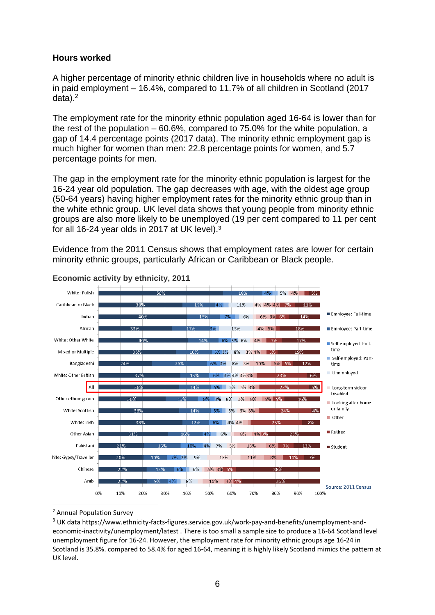#### **Hours worked**

A higher percentage of minority ethnic children live in households where no adult is in paid employment – 16.4%, compared to 11.7% of all children in Scotland (2017  $data$ ).<sup>2</sup>

The employment rate for the minority ethnic population aged 16-64 is lower than for the rest of the population – 60.6%, compared to 75.0% for the white population, a gap of 14.4 percentage points (2017 data). The minority ethnic employment gap is much higher for women than men: 22.8 percentage points for women, and 5.7 percentage points for men.

The gap in the employment rate for the minority ethnic population is largest for the 16-24 year old population. The gap decreases with age, with the oldest age group (50-64 years) having higher employment rates for the minority ethnic group than in the white ethnic group. UK level data shows that young people from minority ethnic groups are also more likely to be unemployed (19 per cent compared to 11 per cent for all 16-24 year olds in 2017 at UK level).<sup>3</sup>

Evidence from the 2011 Census shows that employment rates are lower for certain minority ethnic groups, particularly African or Caribbean or Black people.



#### **Economic activity by ethnicity, 2011**

<sup>2</sup> Annual Population Survey

**.** 

<sup>&</sup>lt;sup>3</sup> UK dat[a https://www.ethnicity-facts-figures.service.gov.uk/work-pay-and-benefits/unemployment-and](https://www.ethnicity-facts-figures.service.gov.uk/work-pay-and-benefits/unemployment-and-economic-inactivity/unemployment/latest)[economic-inactivity/unemployment/latest](https://www.ethnicity-facts-figures.service.gov.uk/work-pay-and-benefits/unemployment-and-economic-inactivity/unemployment/latest) . There is too small a sample size to produce a 16-64 Scotland level unemployment figure for 16-24. However, the employment rate for minority ethnic groups age 16-24 in Scotland is 35.8%. compared to 58.4% for aged 16-64, meaning it is highly likely Scotland mimics the pattern at UK level.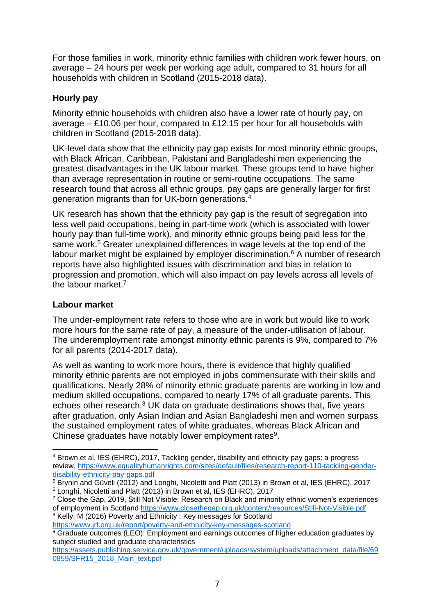For those families in work, minority ethnic families with children work fewer hours, on average – 24 hours per week per working age adult, compared to 31 hours for all households with children in Scotland (2015-2018 data).

## **Hourly pay**

Minority ethnic households with children also have a lower rate of hourly pay, on average – £10.06 per hour, compared to £12.15 per hour for all households with children in Scotland (2015-2018 data).

UK-level data show that the ethnicity pay gap exists for most minority ethnic groups, with Black African, Caribbean, Pakistani and Bangladeshi men experiencing the greatest disadvantages in the UK labour market. These groups tend to have higher than average representation in routine or semi-routine occupations. The same research found that across all ethnic groups, pay gaps are generally larger for first generation migrants than for UK-born generations.<sup>4</sup>

UK research has shown that the ethnicity pay gap is the result of segregation into less well paid occupations, being in part-time work (which is associated with lower hourly pay than full-time work), and minority ethnic groups being paid less for the same work.<sup>5</sup> Greater unexplained differences in wage levels at the top end of the labour market might be explained by employer discrimination.<sup>6</sup> A number of research reports have also highlighted issues with discrimination and bias in relation to progression and promotion, which will also impact on pay levels across all levels of the labour market.<sup>7</sup>

## **Labour market**

The under-employment rate refers to those who are in work but would like to work more hours for the same rate of pay, a measure of the under-utilisation of labour. The underemployment rate amongst minority ethnic parents is 9%, compared to 7% for all parents (2014-2017 data).

As well as wanting to work more hours, there is evidence that highly qualified minority ethnic parents are not employed in jobs commensurate with their skills and qualifications. Nearly 28% of minority ethnic graduate parents are working in low and medium skilled occupations, compared to nearly 17% of all graduate parents. This echoes other research.<sup>8</sup> UK data on graduate destinations shows that, five years after graduation, only Asian Indian and Asian Bangladeshi men and women surpass the sustained employment rates of white graduates, whereas Black African and Chinese graduates have notably lower employment rates<sup>9</sup>.

**<sup>.</sup>** <sup>4</sup> Brown et al, IES (EHRC), 2017, Tackling gender, disability and ethnicity pay gaps: a progress review, [https://www.equalityhumanrights.com/sites/default/files/research-report-110-tackling-gender](https://www.equalityhumanrights.com/sites/default/files/research-report-110-tackling-gender-disability-ethnicity-pay-gaps.pdf)[disability-ethnicity-pay-gaps.pdf](https://www.equalityhumanrights.com/sites/default/files/research-report-110-tackling-gender-disability-ethnicity-pay-gaps.pdf)

<sup>&</sup>lt;sup>5</sup> Brynin and Güveli (2012) and Longhi, Nicoletti and Platt (2013) in Brown et al, IES (EHRC), 2017 <sup>6</sup> Longhi, Nicoletti and Platt (2013) in Brown et al, IES (EHRC), 2017

 $7$  Close the Gap, 2019, Still Not Visible: Research on Black and minority ethnic women's experiences of employment in Scotland<https://www.closethegap.org.uk/content/resources/Still-Not-Visible.pdf> <sup>8</sup> Kelly, M (2016) Poverty and Ethnicity : Key messages for Scotland

<https://www.jrf.org.uk/report/poverty-and-ethnicity-key-messages-scotland>

<sup>9</sup> Graduate outcomes (LEO): Employment and earnings outcomes of higher education graduates by subject studied and graduate characteristics

[https://assets.publishing.service.gov.uk/government/uploads/system/uploads/attachment\\_data/file/69](https://assets.publishing.service.gov.uk/government/uploads/system/uploads/attachment_data/file/690859/SFR15_2018_Main_text.pdf) [0859/SFR15\\_2018\\_Main\\_text.pdf](https://assets.publishing.service.gov.uk/government/uploads/system/uploads/attachment_data/file/690859/SFR15_2018_Main_text.pdf)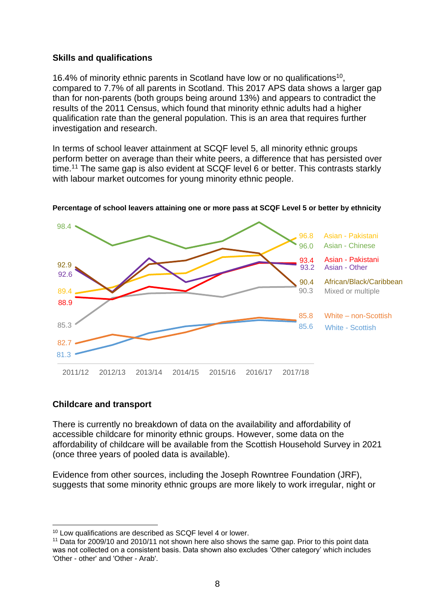#### **Skills and qualifications**

16.4% of minority ethnic parents in Scotland have low or no qualifications<sup>10</sup>, compared to 7.7% of all parents in Scotland. This 2017 APS data shows a larger gap than for non-parents (both groups being around 13%) and appears to contradict the results of the 2011 Census, which found that minority ethnic adults had a higher qualification rate than the general population. This is an area that requires further investigation and research.

In terms of school leaver attainment at SCQF level 5, all minority ethnic groups perform better on average than their white peers, a difference that has persisted over time.<sup>11</sup> The same gap is also evident at SCQF level 6 or better. This contrasts starkly with labour market outcomes for young minority ethnic people.



**Percentage of school leavers attaining one or more pass at SCQF Level 5 or better by ethnicity**

#### **Childcare and transport**

**.** 

There is currently no breakdown of data on the availability and affordability of accessible childcare for minority ethnic groups. However, some data on the affordability of childcare will be available from the Scottish Household Survey in 2021 (once three years of pooled data is available).

Evidence from other sources, including the Joseph Rowntree Foundation (JRF), suggests that some minority ethnic groups are more likely to work irregular, night or

<sup>&</sup>lt;sup>10</sup> Low qualifications are described as SCQF level 4 or lower.

<sup>&</sup>lt;sup>11</sup> Data for 2009/10 and 2010/11 not shown here also shows the same gap. Prior to this point data was not collected on a consistent basis. Data shown also excludes 'Other category' [which includes](http://www.scotland.gov.uk/Topics/Statistics/SIMD)  'Other - [other' and 'Other -](http://www.scotland.gov.uk/Topics/Statistics/SIMD) Arab'.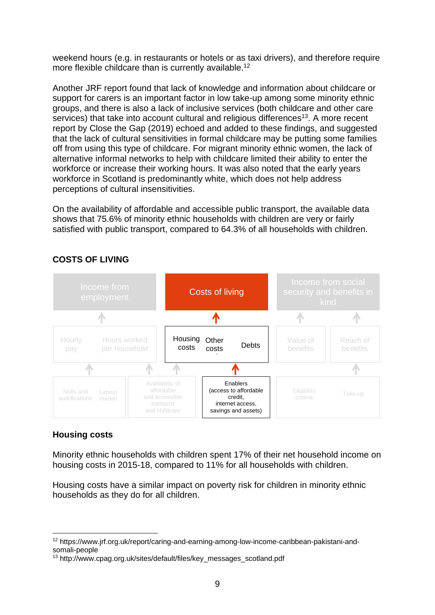weekend hours (e.g. in restaurants or hotels or as taxi drivers), and therefore require more flexible childcare than is currently available.<sup>12</sup>

Another JRF report found that lack of knowledge and information about childcare or support for carers is an important factor in low take-up among some minority ethnic groups, and there is also a lack of inclusive services (both childcare and other care services) that take into account cultural and religious differences<sup>13</sup>. A more recent report by Close the Gap (2019) echoed and added to these findings, and suggested that the lack of cultural sensitivities in formal childcare may be putting some families off from using this type of childcare. For migrant minority ethnic women, the lack of alternative informal networks to help with childcare limited their ability to enter the workforce or increase their working hours. It was also noted that the early years workforce in Scotland is predominantly white, which does not help address perceptions of cultural insensitivities.

On the availability of affordable and accessible public transport, the available data shows that 75.6% of minority ethnic households with children are very or fairly satisfied with public transport, compared to 64.3% of all households with children.



## **COSTS OF LIVING**

#### **Housing costs**

**.** 

Minority ethnic households with children spent 17% of their net household income on housing costs in 2015-18, compared to 11% for all households with children.

Housing costs have a similar impact on poverty risk for children in minority ethnic households as they do for all children.

<sup>12</sup> [https://www.jrf.org.uk/report/caring-and-earning-among-low-income-caribbean-pakistani-and](https://www.jrf.org.uk/report/caring-and-earning-among-low-income-caribbean-pakistani-and-somali-people)[somali-people](https://www.jrf.org.uk/report/caring-and-earning-among-low-income-caribbean-pakistani-and-somali-people)

<sup>13</sup> http://www.cpag.org.uk/sites/default/files/key\_messages\_scotland.pdf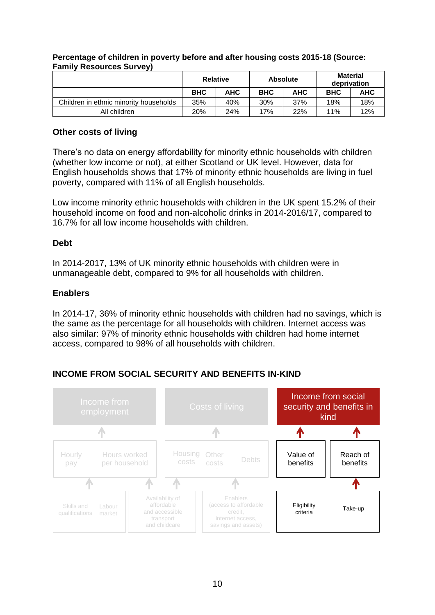|                                        | <b>Relative</b> |            | <b>Absolute</b> |     | Material<br>deprivation |     |
|----------------------------------------|-----------------|------------|-----------------|-----|-------------------------|-----|
|                                        | <b>BHC</b>      | <b>AHC</b> | <b>BHC</b>      | АНС | <b>BHC</b>              | AHC |
| Children in ethnic minority households | 35%             | 40%        | 30%             | 37% | 18%                     | 18% |
| All children                           | 20%             | 24%        | 17%             | 22% | 11%                     | 12% |

#### **Percentage of children in poverty before and after housing costs 2015-18 (Source: Family Resources Survey)**

## **Other costs of living**

There's no data on energy affordability for minority ethnic households with children (whether low income or not), at either Scotland or UK level. However, data for English households shows that 17% of minority ethnic households are living in fuel poverty, compared with 11% of all English households.

Low income minority ethnic households with children in the UK spent 15.2% of their household income on food and non-alcoholic drinks in 2014-2016/17, compared to 16.7% for all low income households with children.

## **Debt**

In 2014-2017, 13% of UK minority ethnic households with children were in unmanageable debt, compared to 9% for all households with children.

## **Enablers**

In 2014-17, 36% of minority ethnic households with children had no savings, which is the same as the percentage for all households with children. Internet access was also similar: 97% of minority ethnic households with children had home internet access, compared to 98% of all households with children.

## **INCOME FROM SOCIAL SECURITY AND BENEFITS IN-KIND**

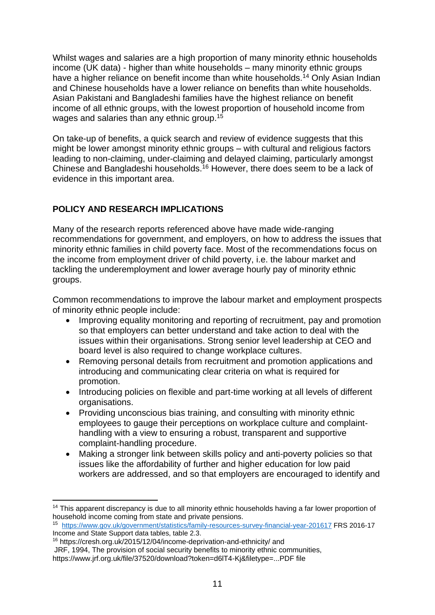Whilst wages and salaries are a high proportion of many minority ethnic households income (UK data) - higher than white households – many minority ethnic groups have a higher reliance on benefit income than white households.<sup>14</sup> Only Asian Indian and Chinese households have a lower reliance on benefits than white households. Asian Pakistani and Bangladeshi families have the highest reliance on benefit income of all ethnic groups, with the lowest proportion of household income from wages and salaries than any ethnic group.<sup>15</sup>

On take-up of benefits, a quick search and review of evidence suggests that this might be lower amongst minority ethnic groups – with cultural and religious factors leading to non-claiming, under-claiming and delayed claiming, particularly amongst Chinese and Bangladeshi households.<sup>16</sup> However, there does seem to be a lack of evidence in this important area.

## **POLICY AND RESEARCH IMPLICATIONS**

Many of the research reports referenced above have made wide-ranging recommendations for government, and employers, on how to address the issues that minority ethnic families in child poverty face. Most of the recommendations focus on the income from employment driver of child poverty, i.e. the labour market and tackling the underemployment and lower average hourly pay of minority ethnic groups.

Common recommendations to improve the labour market and employment prospects of minority ethnic people include:

- Improving equality monitoring and reporting of recruitment, pay and promotion so that employers can better understand and take action to deal with the issues within their organisations. Strong senior level leadership at CEO and board level is also required to change workplace cultures.
- Removing personal details from recruitment and promotion applications and introducing and communicating clear criteria on what is required for promotion.
- Introducing policies on flexible and part-time working at all levels of different organisations.
- Providing unconscious bias training, and consulting with minority ethnic employees to gauge their perceptions on workplace culture and complainthandling with a view to ensuring a robust, transparent and supportive complaint-handling procedure.
- Making a stronger link between skills policy and anti-poverty policies so that issues like the affordability of further and higher education for low paid workers are addressed, and so that employers are encouraged to identify and

**<sup>.</sup>** <sup>14</sup> This apparent discrepancy is due to all minority ethnic households having a far lower proportion of household income coming from state and private pensions.

<sup>15</sup> <https://www.gov.uk/government/statistics/family-resources-survey-financial-year-201617> FRS 2016-17 Income and State Support data tables, table 2.3.

<sup>16</sup> <https://cresh.org.uk/2015/12/04/income-deprivation-and-ethnicity/> and JRF, 1994, The provision of social security benefits to minority ethnic communities, https://www.jrf.org.uk/file/37520/download?token=d6lT4-Kj&filetype=...PDF file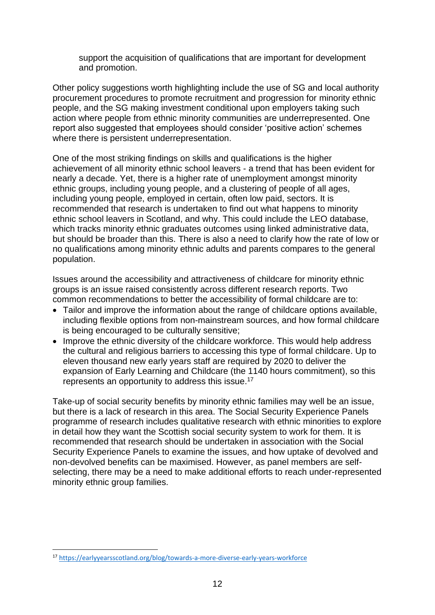support the acquisition of qualifications that are important for development and promotion.

Other policy suggestions worth highlighting include the use of SG and local authority procurement procedures to promote recruitment and progression for minority ethnic people, and the SG making investment conditional upon employers taking such action where people from ethnic minority communities are underrepresented. One report also suggested that employees should consider 'positive action' schemes where there is persistent underrepresentation.

One of the most striking findings on skills and qualifications is the higher achievement of all minority ethnic school leavers - a trend that has been evident for nearly a decade. Yet, there is a higher rate of unemployment amongst minority ethnic groups, including young people, and a clustering of people of all ages, including young people, employed in certain, often low paid, sectors. It is recommended that research is undertaken to find out what happens to minority ethnic school leavers in Scotland, and why. This could include the LEO database, which tracks minority ethnic graduates outcomes using linked administrative data, but should be broader than this. There is also a need to clarify how the rate of low or no qualifications among minority ethnic adults and parents compares to the general population.

Issues around the accessibility and attractiveness of childcare for minority ethnic groups is an issue raised consistently across different research reports. Two common recommendations to better the accessibility of formal childcare are to:

- Tailor and improve the information about the range of childcare options available, including flexible options from non-mainstream sources, and how formal childcare is being encouraged to be culturally sensitive;
- Improve the ethnic diversity of the childcare workforce. This would help address the cultural and religious barriers to accessing this type of formal childcare. Up to eleven thousand new early years staff are required by 2020 to deliver the expansion of Early Learning and Childcare (the 1140 hours commitment), so this represents an opportunity to address this issue.<sup>17</sup>

Take-up of social security benefits by minority ethnic families may well be an issue, but there is a lack of research in this area. The Social Security Experience Panels programme of research includes qualitative research with ethnic minorities to explore in detail how they want the Scottish social security system to work for them. It is recommended that research should be undertaken in association with the Social Security Experience Panels to examine the issues, and how uptake of devolved and non-devolved benefits can be maximised. However, as panel members are selfselecting, there may be a need to make additional efforts to reach under-represented minority ethnic group families.

**.** 

<sup>17</sup> <https://earlyyearsscotland.org/blog/towards-a-more-diverse-early-years-workforce>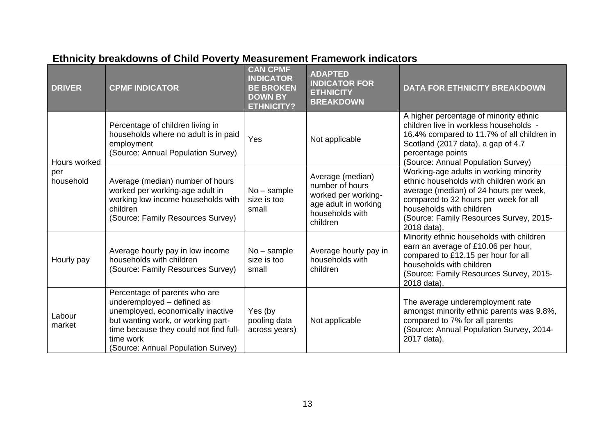| <b>DRIVER</b>    | <b>CPMF INDICATOR</b>                                                                                                                                                                                                               | <b>CAN CPMF</b><br><b>INDICATOR</b><br><b>BE BROKEN</b><br><b>DOWN BY</b><br><b>ETHNICITY?</b> | <b>ADAPTED</b><br><b>INDICATOR FOR</b><br><b>ETHNICITY</b><br><b>BREAKDOWN</b>                                    | <b>DATA FOR ETHNICITY BREAKDOWN</b>                                                                                                                                                                                                                        |
|------------------|-------------------------------------------------------------------------------------------------------------------------------------------------------------------------------------------------------------------------------------|------------------------------------------------------------------------------------------------|-------------------------------------------------------------------------------------------------------------------|------------------------------------------------------------------------------------------------------------------------------------------------------------------------------------------------------------------------------------------------------------|
| Hours worked     | Percentage of children living in<br>households where no adult is in paid<br>employment<br>(Source: Annual Population Survey)                                                                                                        | Yes                                                                                            | Not applicable                                                                                                    | A higher percentage of minority ethnic<br>children live in workless households -<br>16.4% compared to 11.7% of all children in<br>Scotland (2017 data), a gap of 4.7<br>percentage points<br>(Source: Annual Population Survey)                            |
| per<br>household | Average (median) number of hours<br>worked per working-age adult in<br>working low income households with<br>children<br>(Source: Family Resources Survey)                                                                          | $No$ – sample<br>size is too<br>small                                                          | Average (median)<br>number of hours<br>worked per working-<br>age adult in working<br>households with<br>children | Working-age adults in working minority<br>ethnic households with children work an<br>average (median) of 24 hours per week,<br>compared to 32 hours per week for all<br>households with children<br>(Source: Family Resources Survey, 2015-<br>2018 data). |
| Hourly pay       | Average hourly pay in low income<br>households with children<br>(Source: Family Resources Survey)                                                                                                                                   | $No$ – sample<br>size is too<br>small                                                          | Average hourly pay in<br>households with<br>children                                                              | Minority ethnic households with children<br>earn an average of £10.06 per hour,<br>compared to £12.15 per hour for all<br>households with children<br>(Source: Family Resources Survey, 2015-<br>2018 data).                                               |
| Labour<br>market | Percentage of parents who are<br>underemployed - defined as<br>unemployed, economically inactive<br>but wanting work, or working part-<br>time because they could not find full-<br>time work<br>(Source: Annual Population Survey) | Yes (by<br>pooling data<br>across years)                                                       | Not applicable                                                                                                    | The average underemployment rate<br>amongst minority ethnic parents was 9.8%,<br>compared to 7% for all parents<br>(Source: Annual Population Survey, 2014-<br>2017 data).                                                                                 |

## **Ethnicity breakdowns of Child Poverty Measurement Framework indicators**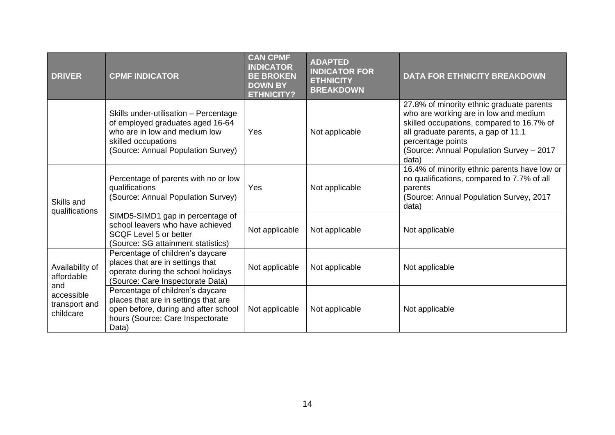| <b>DRIVER</b>                            | <b>CPMF INDICATOR</b>                                                                                                                                                   | <b>CAN CPMF</b><br><b>INDICATOR</b><br><b>BE BROKEN</b><br><b>DOWN BY</b><br><b>ETHNICITY?</b> | <b>ADAPTED</b><br><b>INDICATOR FOR</b><br><b>ETHNICITY</b><br><b>BREAKDOWN</b> | <b>DATA FOR ETHNICITY BREAKDOWN</b>                                                                                                                                                                                                              |
|------------------------------------------|-------------------------------------------------------------------------------------------------------------------------------------------------------------------------|------------------------------------------------------------------------------------------------|--------------------------------------------------------------------------------|--------------------------------------------------------------------------------------------------------------------------------------------------------------------------------------------------------------------------------------------------|
|                                          | Skills under-utilisation - Percentage<br>of employed graduates aged 16-64<br>who are in low and medium low<br>skilled occupations<br>(Source: Annual Population Survey) | Yes                                                                                            | Not applicable                                                                 | 27.8% of minority ethnic graduate parents<br>who are working are in low and medium<br>skilled occupations, compared to 16.7% of<br>all graduate parents, a gap of 11.1<br>percentage points<br>(Source: Annual Population Survey - 2017<br>data) |
| Skills and                               | Percentage of parents with no or low<br>qualifications<br>(Source: Annual Population Survey)                                                                            | Yes                                                                                            | Not applicable                                                                 | 16.4% of minority ethnic parents have low or<br>no qualifications, compared to 7.7% of all<br>parents<br>(Source: Annual Population Survey, 2017<br>data)                                                                                        |
| qualifications                           | SIMD5-SIMD1 gap in percentage of<br>school leavers who have achieved<br><b>SCQF Level 5 or better</b><br>(Source: SG attainment statistics)                             | Not applicable                                                                                 | Not applicable                                                                 | Not applicable                                                                                                                                                                                                                                   |
| Availability of<br>affordable<br>and     | Percentage of children's daycare<br>places that are in settings that<br>operate during the school holidays<br>(Source: Care Inspectorate Data)                          | Not applicable                                                                                 | Not applicable                                                                 | Not applicable                                                                                                                                                                                                                                   |
| accessible<br>transport and<br>childcare | Percentage of children's daycare<br>places that are in settings that are<br>open before, during and after school<br>hours (Source: Care Inspectorate<br>Data)           | Not applicable                                                                                 | Not applicable                                                                 | Not applicable                                                                                                                                                                                                                                   |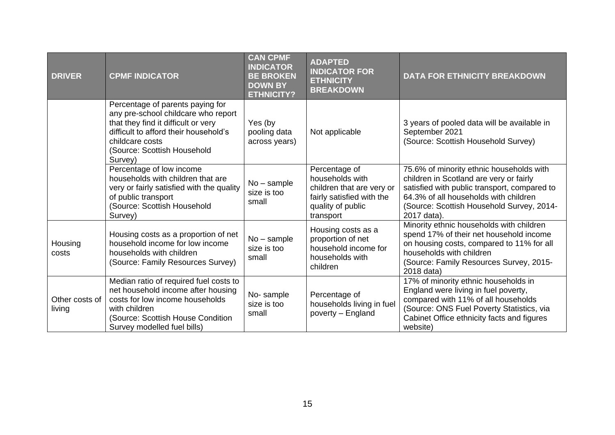| <b>DRIVER</b>            | <b>CPMF INDICATOR</b>                                                                                                                                                                                                | <b>CAN CPMF</b><br><b>INDICATOR</b><br><b>BE BROKEN</b><br><b>DOWN BY</b><br><b>ETHNICITY?</b> | <b>ADAPTED</b><br><b>INDICATOR FOR</b><br><b>ETHNICITY</b><br><b>BREAKDOWN</b>                                               | <b>DATA FOR ETHNICITY BREAKDOWN</b>                                                                                                                                                                                                      |
|--------------------------|----------------------------------------------------------------------------------------------------------------------------------------------------------------------------------------------------------------------|------------------------------------------------------------------------------------------------|------------------------------------------------------------------------------------------------------------------------------|------------------------------------------------------------------------------------------------------------------------------------------------------------------------------------------------------------------------------------------|
|                          | Percentage of parents paying for<br>any pre-school childcare who report<br>that they find it difficult or very<br>difficult to afford their household's<br>childcare costs<br>(Source: Scottish Household<br>Survey) | Yes (by<br>pooling data<br>across years)                                                       | Not applicable                                                                                                               | 3 years of pooled data will be available in<br>September 2021<br>(Source: Scottish Household Survey)                                                                                                                                     |
|                          | Percentage of low income<br>households with children that are<br>very or fairly satisfied with the quality<br>of public transport<br>(Source: Scottish Household<br>Survey)                                          | No - sample<br>size is too<br>small                                                            | Percentage of<br>households with<br>children that are very or<br>fairly satisfied with the<br>quality of public<br>transport | 75.6% of minority ethnic households with<br>children in Scotland are very or fairly<br>satisfied with public transport, compared to<br>64.3% of all households with children<br>(Source: Scottish Household Survey, 2014-<br>2017 data). |
| Housing<br>costs         | Housing costs as a proportion of net<br>household income for low income<br>households with children<br>(Source: Family Resources Survey)                                                                             | No - sample<br>size is too<br>small                                                            | Housing costs as a<br>proportion of net<br>household income for<br>households with<br>children                               | Minority ethnic households with children<br>spend 17% of their net household income<br>on housing costs, compared to 11% for all<br>households with children<br>(Source: Family Resources Survey, 2015-<br>2018 data)                    |
| Other costs of<br>living | Median ratio of required fuel costs to<br>net household income after housing<br>costs for low income households<br>with children<br>(Source: Scottish House Condition<br>Survey modelled fuel bills)                 | No-sample<br>size is too<br>small                                                              | Percentage of<br>households living in fuel<br>poverty - England                                                              | 17% of minority ethnic households in<br>England were living in fuel poverty,<br>compared with 11% of all households<br>(Source: ONS Fuel Poverty Statistics, via<br>Cabinet Office ethnicity facts and figures<br>website)               |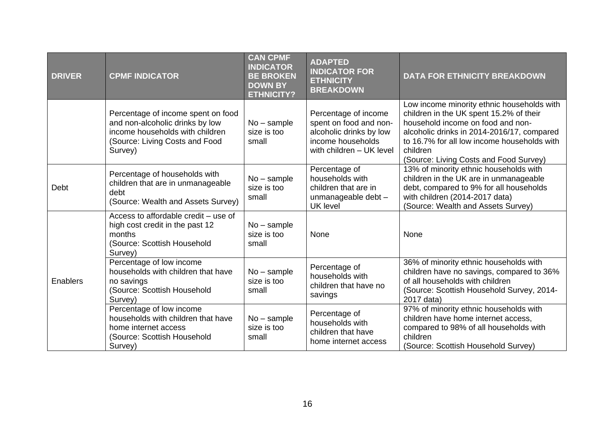| <b>DRIVER</b> | <b>CPMF INDICATOR</b>                                                                                                                                 | <b>CAN CPMF</b><br><b>INDICATOR</b><br><b>BE BROKEN</b><br><b>DOWN BY</b><br><b>ETHNICITY?</b> | <b>ADAPTED</b><br><b>INDICATOR FOR</b><br><b>ETHNICITY</b><br><b>BREAKDOWN</b>                                             | <b>DATA FOR ETHNICITY BREAKDOWN</b>                                                                                                                                                                                                                                           |
|---------------|-------------------------------------------------------------------------------------------------------------------------------------------------------|------------------------------------------------------------------------------------------------|----------------------------------------------------------------------------------------------------------------------------|-------------------------------------------------------------------------------------------------------------------------------------------------------------------------------------------------------------------------------------------------------------------------------|
|               | Percentage of income spent on food<br>and non-alcoholic drinks by low<br>income households with children<br>(Source: Living Costs and Food<br>Survey) | $No$ – sample<br>size is too<br>small                                                          | Percentage of income<br>spent on food and non-<br>alcoholic drinks by low<br>income households<br>with children - UK level | Low income minority ethnic households with<br>children in the UK spent 15.2% of their<br>household income on food and non-<br>alcoholic drinks in 2014-2016/17, compared<br>to 16.7% for all low income households with<br>children<br>(Source: Living Costs and Food Survey) |
| Debt          | Percentage of households with<br>children that are in unmanageable<br>debt<br>(Source: Wealth and Assets Survey)                                      | $No$ – sample<br>size is too<br>small                                                          | Percentage of<br>households with<br>children that are in<br>unmanageable debt -<br><b>UK</b> level                         | 13% of minority ethnic households with<br>children in the UK are in unmanageable<br>debt, compared to 9% for all households<br>with children (2014-2017 data)<br>(Source: Wealth and Assets Survey)                                                                           |
|               | Access to affordable credit - use of<br>high cost credit in the past 12<br>months<br>(Source: Scottish Household<br>Survey)                           | $No$ – sample<br>size is too<br>small                                                          | None                                                                                                                       | None                                                                                                                                                                                                                                                                          |
| Enablers      | Percentage of low income<br>households with children that have<br>no savings<br>(Source: Scottish Household<br>Survey)                                | $No$ – sample<br>size is too<br>small                                                          | Percentage of<br>households with<br>children that have no<br>savings                                                       | 36% of minority ethnic households with<br>children have no savings, compared to 36%<br>of all households with children<br>(Source: Scottish Household Survey, 2014-<br>2017 data)                                                                                             |
|               | Percentage of low income<br>households with children that have<br>home internet access<br>(Source: Scottish Household<br>Survey)                      | $No$ – sample<br>size is too<br>small                                                          | Percentage of<br>households with<br>children that have<br>home internet access                                             | 97% of minority ethnic households with<br>children have home internet access,<br>compared to 98% of all households with<br>children<br>(Source: Scottish Household Survey)                                                                                                    |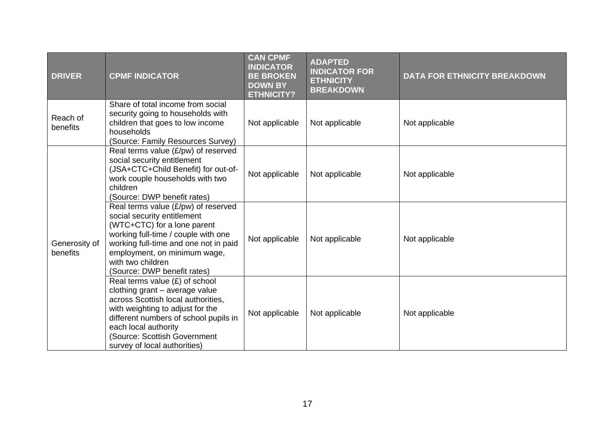| <b>DRIVER</b>             | <b>CPMF INDICATOR</b>                                                                                                                                                                                                                                                         | <b>CAN CPMF</b><br><b>INDICATOR</b><br><b>BE BROKEN</b><br><b>DOWN BY</b><br><b>ETHNICITY?</b> | <b>ADAPTED</b><br><b>INDICATOR FOR</b><br><b>ETHNICITY</b><br><b>BREAKDOWN</b> | <b>DATA FOR ETHNICITY BREAKDOWN</b> |
|---------------------------|-------------------------------------------------------------------------------------------------------------------------------------------------------------------------------------------------------------------------------------------------------------------------------|------------------------------------------------------------------------------------------------|--------------------------------------------------------------------------------|-------------------------------------|
| Reach of<br>benefits      | Share of total income from social<br>security going to households with<br>children that goes to low income<br>households<br>(Source: Family Resources Survey)                                                                                                                 | Not applicable                                                                                 | Not applicable                                                                 | Not applicable                      |
|                           | Real terms value $(E/pw)$ of reserved<br>social security entitlement<br>(JSA+CTC+Child Benefit) for out-of-<br>work couple households with two<br>children<br>(Source: DWP benefit rates)                                                                                     | Not applicable                                                                                 | Not applicable                                                                 | Not applicable                      |
| Generosity of<br>benefits | Real terms value $(E/pw)$ of reserved<br>social security entitlement<br>(WTC+CTC) for a lone parent<br>working full-time / couple with one<br>working full-time and one not in paid<br>employment, on minimum wage,<br>with two children<br>(Source: DWP benefit rates)       | Not applicable                                                                                 | Not applicable                                                                 | Not applicable                      |
|                           | Real terms value $(E)$ of school<br>clothing grant - average value<br>across Scottish local authorities,<br>with weighting to adjust for the<br>different numbers of school pupils in<br>each local authority<br>(Source: Scottish Government<br>survey of local authorities) | Not applicable                                                                                 | Not applicable                                                                 | Not applicable                      |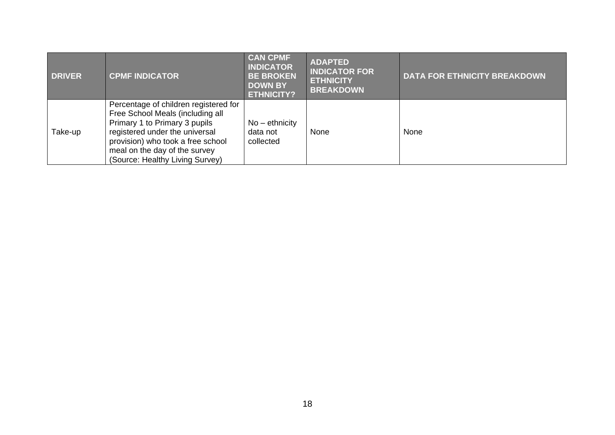| <b>DRIVER</b> | <b>CPMF INDICATOR</b>                                                                                                                                                                                                                                 | <b>CAN CPMF</b><br><b>INDICATOR</b><br><b>BE BROKEN</b><br><b>DOWN BY</b><br><b>ETHNICITY?</b> | <b>ADAPTED</b><br><b>INDICATOR FOR</b><br><b>ETHNICITY</b><br><b>BREAKDOWN</b> | <b>DATA FOR ETHNICITY BREAKDOWN</b> |
|---------------|-------------------------------------------------------------------------------------------------------------------------------------------------------------------------------------------------------------------------------------------------------|------------------------------------------------------------------------------------------------|--------------------------------------------------------------------------------|-------------------------------------|
| Take-up       | Percentage of children registered for<br>Free School Meals (including all<br>Primary 1 to Primary 3 pupils<br>registered under the universal<br>provision) who took a free school<br>meal on the day of the survey<br>(Source: Healthy Living Survey) | $No$ – ethnicity<br>data not<br>collected                                                      | None                                                                           | None                                |